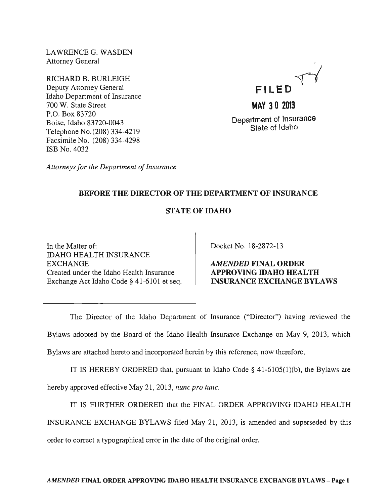LAWRENCEG. WASDEN Attorney General

RICHARD B. BURLEIGH Deputy Attorney General Idaho Department of Insurance 700 W. State Street P.O. Box 83720 Boise, Idaho 83720-0043 Telephone No. (208) 334-4219 Facsimile No. (208) 334-4298 ISB No. 4032



Department of Insurance State of Idaho

*Attorneys for the Department of Insurance* 

# BEFORE THE DIRECTOR OF THE DEPARTMENT OF INSURANCE

# STATE OF IDAHO

In the Matter of: IDAHO HEALTH INSURANCE EXCHANGE Created under the Idaho Health Insurance Exchange Act Idaho Code § 41-6101 et seq. Docket No. 18-2872-13

AMENDED FINAL ORDER APPROVING IDAHO HEALTH INSURANCE EXCHANGE BYLAWS

The Director of the Idaho Department of Insurance ("Director") having reviewed the Bylaws adopted by the Board of the Idaho Health Insurance Exchange on May 9, 2013, which

Bylaws are attached hereto and incorporated herein by this reference, now therefore,

IT IS HEREBY ORDERED that, pursuant to Idaho Code  $\S$  41-6105(1)(b), the Bylaws are hereby approved effective May 21, 2013, *nunc pro tunc.* 

IT IS FURTHER ORDERED that the FINAL ORDER APPROVING IDAHO HEALTH

INSURANCE EXCHANGE BYLAWS filed May 21, 2013, is amended and superseded by this

order to correct a typographical error in the date of the original order.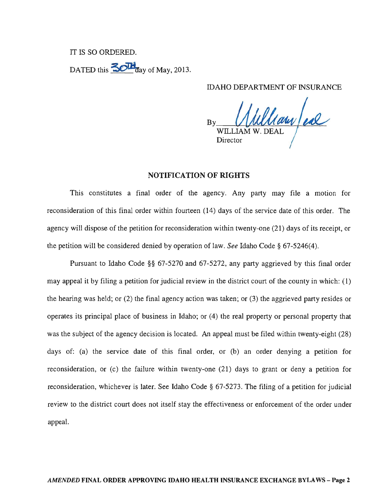#### IT IS SO ORDERED.

DATED this  $\frac{30\text{H}}{3}$  day of May, 2013.

IDAHO DEPARTMENT OF INSURANCE

 $B_{\rm B}$  (Mullary ex WILLIAM W. DEAL Director

#### NOTIFICATION OF RIGHTS

This constitutes a final order of the agency. Any party may file a motion for reconsideration of this final order within fourteen (14) days of the service date of this order. The agency will dispose of the petition for reconsideration within twenty-one (21) days of its receipt, or the petition will be considered denied by operation of law. *See* Idaho Code § 67-5246(4).

Pursuant to Idaho Code §§ 67-5270 and 67-5272, any party aggrieved by this final order may appeal it by filing a petition for judicial review in the district court of the county in which: (1) the hearing was held; or (2) the final agency action was taken; or (3) the aggrieved party resides or operates its principal place of business in Idaho; or (4) the real property or personal property that was the subject of the agency decision is located. An appeal must be filed within twenty-eight (28) days of: (a) the service date of this final order, or (b) an order denying a petition for reconsideration, or (c) the failure within twenty-one (21) days to grant or deny a petition for reconsideration, whichever is later. See Idaho Code § 67-5273. The filing of a petition for judicial review to the district court does not itself stay the effectiveness or enforcement of the order under appeal.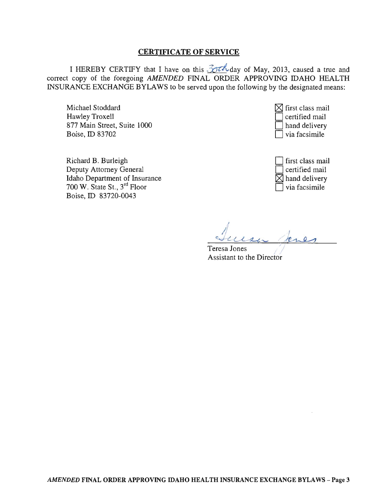#### CERTIFICATE OF SERVICE

I HEREBY CERTIFY that I have on this  $\frac{3}{10}$  caused a true and  $\frac{3}{10}$  Here and correct copy of the foregoing AMENDED FINAL ORDER APPROVING IDAHO HEALTH INSURANCE EXCHANGE BYLAWS to be served upon the following by the designated means:

Michael Stoddard Hawley Troxell 877 Main Street, Suite 1000 Boise, ID 83702

Richard B. Burleigh Deputy Attorney General Idaho Department of Insurance 700 W. State St., 3rd Floor Boise, ID 83720-0043



| first class mail          |
|---------------------------|
| certified mail            |
| $\boxtimes$ hand delivery |
| via facsimile             |

Teresa Jones Assistant to the Director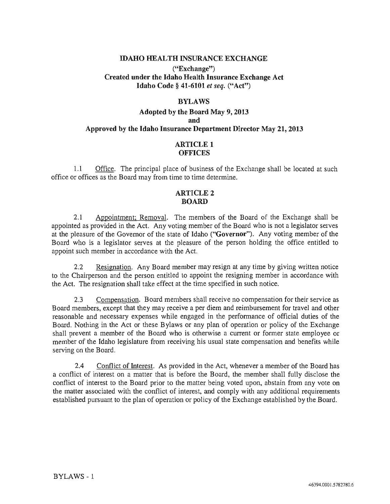#### IDAHO HEALTH INSURANCE EXCHANGE

#### ("Exchange") Created under the Idaho Health Insurance Exchange Act Idaho Code § 41-6101 *et seq.* ("Act")

#### BYLAWS

## Adopted by the Board May 9,2013 and Approved by the Idaho Insurance Department Director May 21, 2013

#### ARTICLE 1 **OFFICES**

1.1 Office. The principal place of business of the Exchange shall be located at such office or offices as the Board may from time to time determine.

### ARTICLE 2 BOARD

2.1 Appointment; Removal. The members of the Board of the Exchange shall be appointed as provided in the Act. Any voting member of the Board who is not a legislator serves at the pleasure of the Governor of the state of Idaho ("Governor"). Any voting member of the Board who is a legislator serves at the pleasure of the person holding the office entitled to appoint such member in accordance with the Act.

2.2 Resignation. Any Board member may resign at any time by giving written notice to the Chairperson and the person entitled to appoint the resigning member in accordance with the Act. The resignation shall take effect at the time specified in such notice.

2.3 Compensation. Board members shall receive no compensation for their service as Board members, except that they may receive a per diem and reimbursement for travel and other reasonable and necessary expenses while engaged in the performance of official duties of the Board. Nothing in the Act or these Bylaws or any plan of operation or policy of the Exchange shall prevent a member of the Board who is otherwise a current or former state employee or member of the Idaho legislature from receiving his usual state compensation and benefits while serving on the Board.

2.4 Conflict of Interest. As provided in the Act, whenever a member of the Board has a conflict of interest on a matter that is before the Board, the member shall fully disclose the conflict of interest to the Board prior to the matter being voted upon, abstain from any vote on the matter associated with the conflict of interest, and comply with any additional requirements established pursuant to the plan of operation or policy of the Exchange established by the Board.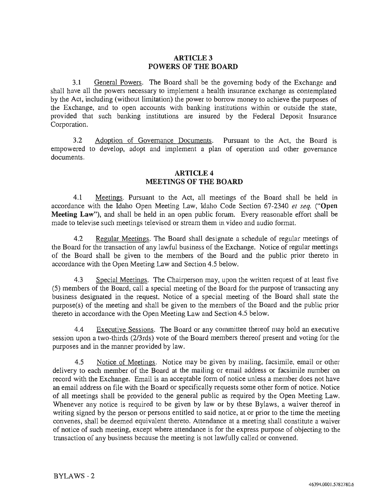#### ARTICLE 3 **POWERS OF THE BOARD**

3.1 General Powers. The Board shall be the governing body of the Exchange and shall have all the powers necessary to implement a health insurance exchange as contemplated by the Act, including (without limitation) the power to borrow money to achieve the purposes of the Exchange, and to open accounts with banking institutions within or outside the state, provided that such banking institutions are insured by the Federal Deposit Insurance Corporation.

3.2 Adoption of Governance Documents. Pursuant to the Act, the Board is empowered to develop, adopt and implement a plan of operation and other governance documents.

#### ARTICLE 4 **MEETINGS OF THE BOARD**

4.1 Meetings. Pursuant to the Act, all meetings of the Board shall be held in accordance with the Idaho Open Meeting Law, Idaho Code Section 67-2340 *et seq.* ("Open **Meeting** Law"), and shall be held in an open public forum. Every reasonable effort shall be made to televise such meetings televised or stream them in video and audio format.

4.2 Regular Meetings. The Board shall designate a schedule of regular meetings of the Board for the transaction of any lawful business of the Exchange. Notice of regular meetings of the Board shall be given to the members of the Board and the public prior thereto in accordance with the Open Meeting Law and Section 4.5 below.

4.3 Special Meetings. The Chairperson may, upon the written request of at least five (5) members of the Board, call a special meeting of the Board for the purpose of transacting any business designated in the request. Notice of a special meeting of the Board shall state the purpose(s) of the meeting and shall be given to the members of the Board and the public prior thereto in accordance with the Open Meeting Law and Section 4.5 below.

4.4 Executive Sessions. The Board or any committee thereof may hold an executive session upon a two-thirds (2/3rds) vote of the Board members thereof present and voting for the purposes and in the manner provided by law.

4.5 Notice of Meetings. Notice may be given by mailing, facsimile, email or other delivery to each member of the Board at the mailing or email address or facsimile number on record with the Exchange. Email is an acceptable form of notice unless a member does not have an email address on file with the Board or specifically requests some other form of notice. Notice of all meetings shall be provided to the general public as required by the Open Meeting Law. Whenever any notice is required to be given by law or by these Bylaws, a waiver thereof in writing signed by the person or persons entitled to said notice, at or prior to the time the meeting convenes, shall be deemed equivalent thereto. Attendance at a meeting shall constitute a waiver of notice of such meeting, except where attendance is for the express purpose of objecting to the transaction of any business because the meeting is not lawfully called or convened.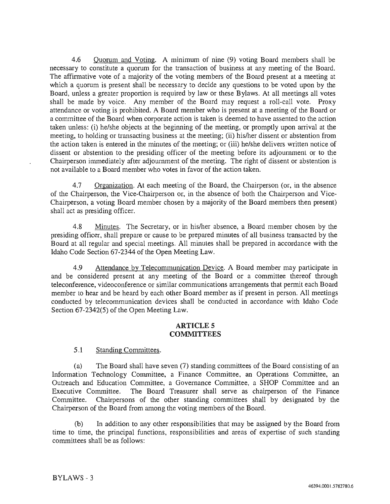4.6 Quorum and Voting. A minimum of nine (9) voting Board members shall be necessary to constitute a quorum for the transaction of business at any meeting of the Board. The affirmative vote of a majority of the voting members of the Board present at a meeting at which a quorum is present shall be necessary to decide any questions to be voted upon by the Board, unless a greater proportion is required by law or these Bylaws. At all meetings all votes shall be made by voice. Any member of the Board may request a roll-call vote. Proxy attendance or voting is prohibited. A Board member who is present at a meeting of the Board or a committee of the Board when corporate action is taken is deemed to have assented to the action taken unless: (i) he/she objects at the beginning of the meeting, or promptly upon arrival at the meeting, to holding or transacting business at the meeting; (ii) hislher dissent or abstention from the action taken is entered in the minutes of the meeting; or (iii) he/she delivers written notice of dissent or abstention to the presiding officer of the meeting before its adjournment or to the Chairperson immediately after adjournment of the meeting. The right of dissent or abstention is not available to a Board member who votes in favor of the action taken.

4.7 Organization. At each meeting of the Board, the Chairperson (or, in the absence of the Chairperson, the Vice-Chairperson or, in the absence of both the Chairperson and Vice-Chairperson, a voting Board member chosen by a majority of the Board members then present) shall act as presiding officer.

4.8 Minutes. The Secretary, or in hislher absence, a Board member chosen by the presiding officer, shall prepare or cause to be prepared minutes of all business transacted by the Board at all regular and special meetings. All minutes shall be prepared in accordance with the Idaho Code Section 67-2344 of the Open Meeting Law.

4.9 Attendance by Telecommunication Device. A Board member may participate in and be considered present at any meeting of the Board or a committee thereof through teleconference, videoconference or similar communications arrangements that pennit each Board member to hear and be heard by each other Board member as if present in person. All meetings conducted by telecommunication devices shall be conducted in accordance with Idaho Code Section 67-2342(5) of the Open Meeting Law.

#### **ARTICLES COMMITTEES**

### 5.1 Standing Committees.

(a) The Board shall have seven (7) standing committees of the Board consisting of an Information Technology Committee, a Finance Committee, an Operations Committee, an Outreach and Education Committee, a Governance Committee, a SHOP Committee and an Executive Committee. The Board Treasurer shall serve as chairperson of the Finance Committee. Chairpersons of the other standing committees shall by designated by the Chairperson of the Board from among the voting members of the Board.

(b) In addition to any other responsibilities that may be assigned by the Board from time to time, the principal functions, responsibilities and areas of expertise of such standing committees shall be as follows: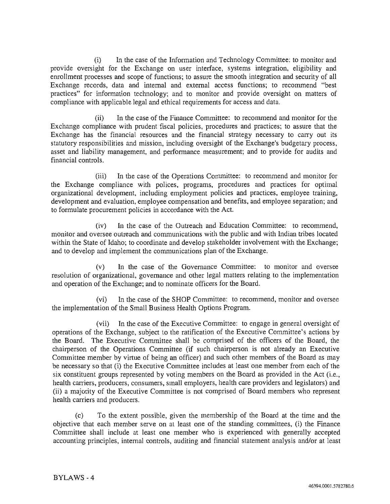(i) In the case of the Information and Technology Committee: to monitor and provide oversight for the Exchange on user interface, systems integration, eligibility and enrollment processes and scope of functions; to assure the smooth integration and security of all Exchange records, data and internal and external access functions; to recommend "best practices" for information technology; and to monitor and provide oversight on matters of compliance with applicable legal and ethical requirements for access and data.

(ii) In the case of the Finance Committee: to recommend and monitor for the Exchange compliance with prudent fiscal policies, procedures and practices; to assure that the Exchange has the financial resources and the financial strategy necessary to carry out its statutory responsibilities and mission, including oversight of the Exchange's budgetary process, asset and liability management, and performance measurement; and to provide for audits and financial controls.

(iii) In the case of the Operations Committee: to recommend and monitor for the Exchange compliance with polices, programs, procedures and practices for optimal organizational development, including employment policies and practices, employee training, development and evaluation, employee compensation and benefits, and employee separation; and to formulate procurement policies in accordance with the Act.

(iv) In the case of the Outreach and Education Committee: to recommend, monitor and oversee outreach and communications with the public and with Indian tribes located within the State of Idaho; to coordinate and develop stakeholder involvement with the Exchange; and to develop and implement the communications plan of the Exchange.

(v) In the case of the Governance Committee: to monitor and oversee resolution of organizational, governance and other legal matters relating to the implementation and operation of the Exchange; and to nominate officers for the Board.

(vi) In the case of the SHOP Committee: to recommend, monitor and oversee the implementation of the Small Business Health Options Program.

(vii) In the case of the Executive Committee: to engage in general oversight of operations of the Exchange, subject to the ratification of the Executive Committee's actions by the Board. The Executive Committee shall be comprised of the officers of the Board, the chairperson of the Operations Committee (if such chairperson is not already an Executive Committee member by virtue of being an officer) and such other members of the Board as may be necessary so that (i) the Executive Committee includes at least one member from each of the six constituent groups represented by voting members on the Board as provided in the Act (i.e., health carriers, producers, consumers, small employers, health care providers and legislators) and (ii) a majority of the Executive Committee is not comprised of Board members who represent health carriers and producers.

(c) To the extent possible, given the membership of the Board at the time and the objective that each member serve on at least one of the standing committees, (i) the Finance Committee shall include at least one member who is experienced with generally accepted accounting principles, internal controls, auditing and financial statement analysis and/or at least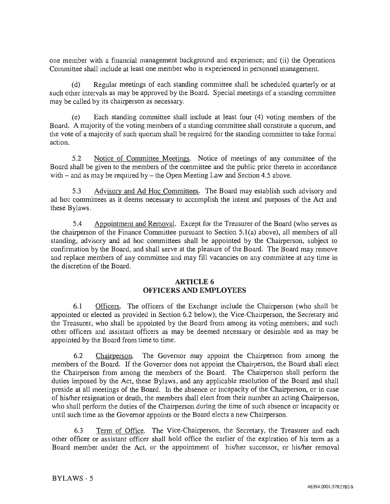one member with a financial management background and experience; and (ii) the Operations Committee shall include at least one member who is experienced in personnel management.

(d) Regular meetings of each standing committee shall be scheduled quarterly or at such other intervals as may be approved by the Board. Special meetings of a standing committee may be called by its chairperson as necessary.

(e) Each standing committee shall include at least four (4) voting members of the Board. A majority of the voting members of a standing committee shall constitute a quorum, and the vote of a majority of such quorum shall be required for the standing committee to take formal action.

5.2 Notice of Committee Meetings. Notice of meetings of any committee of the Board shall be given to the members of the committee and the public prior thereto in accordance with  $-$  and as may be required by  $-$  the Open Meeting Law and Section 4.5 above.

5.3 Advisory and Ad Hoc Committees. The Board may establish such advisory and ad hoc committees as it deems necessary to accomplish the intent and purposes of the Act and these Bylaws.

5.4 Appointment and Removal. Except for the Treasurer of the Board (who serves as the chairperson of the Finance Committee pursuant to Section 5.1(a) above), all members of all standing, advisory and ad hoc committees shall be appointed by the Chairperson, subject to confirmation by the Board, and shall serve at the pleasure of the Board. The Board may remove and replace members of any committee and may fill vacancies on any committee at any time in the discretion of the Board.

### ARTICLE 6 **OFFICERS AND EMPLOYEES**

6.1 Officers. The officers of the Exchange include the Chairperson (who shall be appointed or elected as provided in Section 6.2 below); the Vice-Chairperson, the Secretary and the Treasurer, who shall be appointed by the Board from among its voting members; and such other officers and assistant officers as may be deemed necessary or desirable and as may be appointed by the Board from time to time.

6.2 Chairperson. The Governor may appoint the Chairperson from among the members of the Board. If the Governor does not appoint the Chairperson, the Board shall elect the Chairperson from among the members of the Board. The Chairperson shall perform the duties imposed by the Act, these Bylaws, and any applicable resolution of the Board and shall preside at all meetings of the Board. In the absence or incapacity of the Chairperson, or in case of hislher resignation or death, the members shall elect from their number an acting Chairperson, who shall perform the duties of the Chairperson during the time of such absence or incapacity or until such time as the Governor appoints or the Board elects a new Chairperson.

6.3 Term of Office. The Vice-Chairperson, the Secretary, the Treasurer and each other officer or assistant officer shall hold office the earlier of the expiration of his term as a Board member under the Act, or the appointment of his/her successor, or his/her removal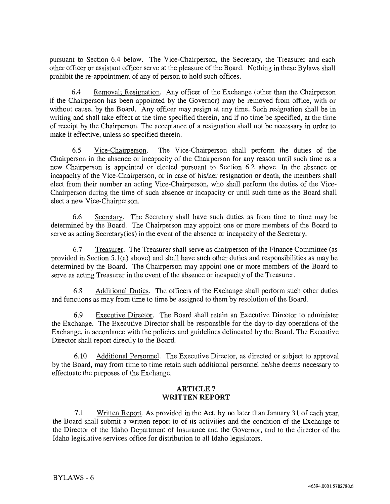pursuant to Section 6.4 below. The Vice-Chairperson, the Secretary, the Treasurer and each other officer or assistant officer serve at the pleasure of the Board. Nothing in these Bylaws shall prohibit the re-appointment of any of person to hold such offices.

6.4 Removal; Resignation. Any officer of the Exchange (other than the Chairperson if the Chairperson has been appointed by the Governor) may be removed from office, with or without cause, by the Board. Any officer may resign at any time. Such resignation shall be in writing and shall take effect at the time specified therein, and if no time be specified, at the time of receipt by the Chairperson. The acceptance of a resignation shall not be necessary in order to make it effective, unless so specified therein.

6.5 Vice-Chairperson. The Vice-Chairperson shall perform the duties of the Chairperson in the absence or incapacity of the Chairperson for any reason until such time as a new Chairperson is appointed or elected pursuant to Section 6.2 above. In the absence or incapacity of the Vice-Chairperson, or in case of his/her resignation or death, the members shall elect from their number an acting Vice-Chairperson, who shall perform the duties of the Vice-Chairperson during the time of such absence or incapacity or until such time as the Board shall elect a new Vice-Chairperson.

6.6 Secretary. The Secretary shall have such duties as from time to time may be determined by the Board. The Chairperson may appoint one or more members of the Board to serve as acting Secretary(ies) in the event of the absence or incapacity of the Secretary.

6.7 Treasurer. The Treasurer shall serve as chairperson of the Finance Committee (as provided in Section S.l(a) above) and shall have such other duties and responsibilities as may be determined by the Board. The Chairperson may appoint one or more members of the Board to serve as acting Treasurer in the event of the absence or incapacity of the Treasurer.

6.8 Additional Duties. The officers of the Exchange shall perform such other duties and functions as may from time to time be assigned to them by resolution of the Board.

6.9 Executive Director. The Board shall retain an Executive Director to administer the Exchange. The Executive Director shall be responsible for the day-to-day operations of the Exchange, in accordance with the policies and guidelines delineated by the Board. The Executive Director shall report directly to the Board.

6.10 Additional Personnel. The Executive Director, as directed or subject to approval by the Board, may from time to time retain such additional personnel he/she deems necessary to effectuate the purposes of the Exchange.

#### ARTICLE 7 **WRITTEN REPORT**

7.1 Written Report. As provided in the Act, by no later than January 31 of each year, the Board shall submit a written report to of its activities and the condition of the Exchange to the Director of the Idaho Department of Insurance and the Governor, and to the director of the Idaho legislative services office for distribution to all Idaho legislators.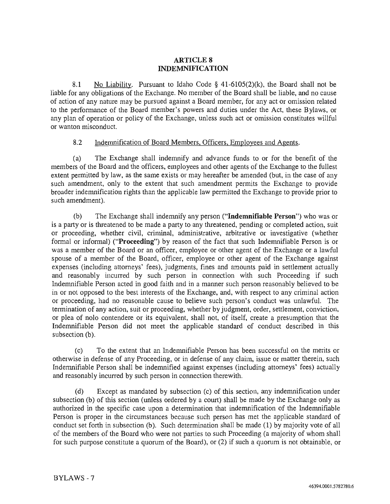### **ARTICLE 8 INDEMNIFICATION**

8.1 No Liability. Pursuant to Idaho Code § 41-6105(2)(k), the Board shall not be liable for any obligations of the Exchange. No member of the Board shall be liable, and no cause of action of any nature may be pursued against a Board member, for any act or omission related to the performance of the Board member's powers and duties under the Act, these Bylaws, or any plan of operation or policy of the Exchange. unless such act or omission constitutes willful or wanton misconduct.

### 8.2 Indemnification of Board Members, Officers, Employees and Agents.

(a) The Exchange shall indemnify and advance funds to or for the benefit of the members of the Board and the officers, employees and other agents of the Exchange to the fullest extent permitted by law, as the same exists or may hereafter be amended (but, in the case of any such amendment, only to the extent that such amendment permits the Exchange to provide broader indenmification rights than the applicable law permitted the Exchange to provide prior to such amendment).

(b) The Exchange shall indemnify any person ("**Indemnifiable Person**") who was or is a party or is threatened to be made a party to any threatened, pending or completed action, suit or proceeding, whether civil, criminal, administrative, arbitrative or investigative (whether formal or informal) ("Proceeding") by reason of the fact that such Indemnifiable Person is or was a member of the Board or an officer, employee or other agent of the Exchange or a lawful spouse of a member of the Board, officer, employee or other agent of the Exchange against expenses (including attorneys' fees), judgments, fines and amounts paid in settlement actually and reasonably incurred by such person in connection with such Proceeding if such Indemnifiable Person acted in good faith and in a manner such person reasonably believed to be in or not opposed to the best interests of the Exchange, and, with respect to any criminal action or proceeding. had no reasonable cause to believe such person's conduct was unlawful. The termination of any action, suit or proceeding, whether by judgment, order, settlement, conviction, or plea of nolo contendere or its equivalent, shall not, of itself, create a presumption that the Indemnifiable Person did not meet the applicable standard of conduct described in this subsection (b).

(c) To the extent that ml Indemnifiable Person has been successful on the merits or otherwise in defense of any Proceeding, or in defense of any claim, issue or matter therein, such Indemnifiable Person shall be indemnified against expenses (including attorneys' fees) actually and reasonably incurred by such person in connection therewith.

 $(d)$  Except as mandated by subsection (c) of this section, any indemnification under subsection (b) of this section (unless ordered by a court) shall be made by the Exchange only as authorized in the specific case upon a determination that indemnification of the Indemnifiable Person is proper in the circumstances because such person has met the applicable standard of conduct set forth in subsection (b). Such determination shall be made (1) by majority vote of all of the members of the Board who were not parties to such Proceeding (a majority of whom shall for such purpose constitute a quorum of the Board), or (2) if such a quorum is not obtainable, or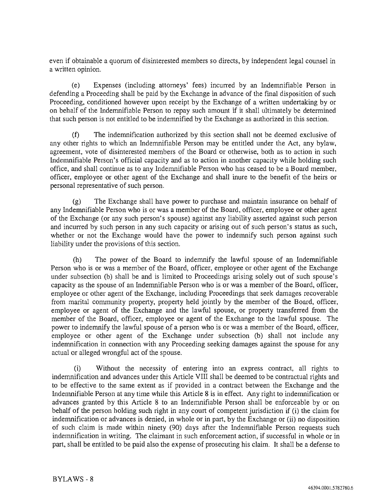even if obtainable a quorum of disinterested members so directs, by independent legal counsel in a written opinion.

(e) Expenses (including attorneys' fees) incurred by an Indemnifiable Person in defending a Proceeding shall be paid by the Exchange in advance of the final disposition of such Proceeding, conditioned however upon receipt by the Exchange of a written undertaking by or on behalf of the Indemnifiable Person to repay such amount if it shall ultimately be determined that such person is not entitled to be indemnified by the Exchange as authorized in this section.

(f) The indemnification authorized by this section shall not be deemed exclusive of any other rights to which an Indemnifiable Person may be entitled under the Act, any bylaw, agreement, vote of disinterested members of the Board or otherwise, both as to action in such Indemnifiable Person's official capacity and as to action in another capacity while holding such office, and shall continue as to any Indemnifiable Person who has ceased to be a Board member, officer, employee or other agent of the Exchange and shall inure to the benefit of the heirs or personal representative of such person.

(g) The Exchange shall have power to purchase and maintain insurance on behalf of any Indemnifiable Person who is or was a member of the Board, officer, employee or other agent of the Exchange (or any such person's spouse) against any liability asserted against such person and incurred by such person in any such capacity or arising out of such person's status as such, whether or not the Exchange would have the power to indemnify such person against such liability under the provisions of this section.

(h) The power of the Board to indemnify the lawful spouse of an Indemnifiable Person who is or was a member of the Board, officer, employee or other agent of the Exchange under subsection (b) shall be and is limited to Proceedings arising solely out of such spouse's capacity as the spouse of an Indemnifiable Person who is or was a member of the Board, officer, employee or other agent of the Exchange, including Proceedings that seek damages recoverable from marital community property, property held jointly by the member of the Board, officer, employee or agent of the Exchange and the lawful spouse, or property transferred from the member of the Board, officer, employee or agent of the Exchange to the lawful spouse. The power to indemnify the lawful spouse of a person who is or was a member of the Board, officer, employee or other agent of the Exchange under subsection (b) shall not include any indemnification in connection with any Proceeding seeking damages against the spouse for any actual or alleged wrongful act of the spouse.

(i) Without the necessity of entering into an express contract, all rights to indemnification and advances under this Article VIII shall be deemed to be contractual rights and to be effective to the same extent as if provided in a contract between the Exchange and the Indemnifiable Person at any time while this Article 8 is in effect. Any right to indemnification or advances granted by this Article 8 to an Indemnifiable Person shall be enforceable by or on behalf of the person holding such right in any court of competent jurisdiction if (i) the claim for indemnification or advances is denied, in whole or in part, by the Exchange or (ii) no disposition of such claim is made within ninety (90) days after the Indemnifiable Person requests such indemnification in writing. The claimant in such enforcement action, if successful in whole or in part, shall be entitled to be paid also the expense of prosecuting his claim. It shall be a defense to